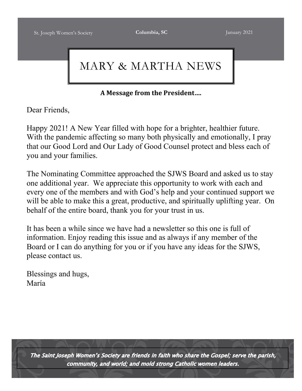# MARY & MARTHA NEWS

**A Message from the President….**

Dear Friends,

Happy 2021! A New Year filled with hope for a brighter, healthier future. With the pandemic affecting so many both physically and emotionally, I pray that our Good Lord and Our Lady of Good Counsel protect and bless each of you and your families.

The Nominating Committee approached the SJWS Board and asked us to stay one additional year. We appreciate this opportunity to work with each and every one of the members and with God's help and your continued support we will be able to make this a great, productive, and spiritually uplifting year. On behalf of the entire board, thank you for your trust in us.

It has been a while since we have had a newsletter so this one is full of information. Enjoy reading this issue and as always if any member of the Board or I can do anything for you or if you have any ideas for the SJWS, please contact us.

Blessings and hugs, María

The Saint Joseph Women's Society are friends in faith who share the Gospel; serve the parish, community, and world; and mold strong Catholic women leaders.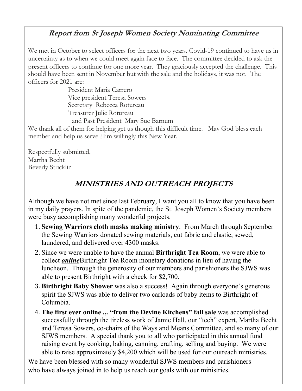## **Report from St Joseph Women Society Nominating Committee**

We met in October to select officers for the next two years. Covid-19 continued to have us in uncertainty as to when we could meet again face to face. The committee decided to ask the present officers to continue for one more year. They graciously accepted the challenge. This should have been sent in November but with the sale and the holidays, it was not. The officers for 2021 are:

> President Maria Carrero Vice president Teresa Sowers Secretary Rebecca Rotureau Treasurer Julie Rotureau

and Past President Mary Sue Barnum We thank all of them for helping get us though this difficult time. May God bless each member and help us serve Him willingly this New Year.

Respectfully submitted, Martha Becht Beverly Stricklin

## **MINISTRIES AND OUTREACH PROJECTS**

Although we have not met since last February, I want you all to know that you have been in my daily prayers. In spite of the pandemic, the St. Joseph Women's Society members were busy accomplishing many wonderful projects.

- 1. **Sewing Warriors cloth masks making ministry**. From March through September the Sewing Warriors donated sewing materials, cut fabric and elastic, sewed, laundered, and delivered over 4300 masks.
- 2. Since we were unable to have the annual **Birthright Tea Room**, we were able to collect *online*Birthright Tea Room monetary donations in lieu of having the luncheon. Through the generosity of our members and parishioners the SJWS was able to present Birthright with a check for \$2,700.
- 3. **Birthright Baby Shower** was also a success! Again through everyone's generous spirit the SJWS was able to deliver two carloads of baby items to Birthright of Columbia.
- 4. **The first ever online .,. "from the Devine Kitchens" fall sale** was accomplished successfully through the tireless work of Jamie Hall, our "tech" expert, Martha Becht and Teresa Sowers, co-chairs of the Ways and Means Committee, and so many of our SJWS members. A special thank you to all who participated in this annual fund raising event by cooking, baking, canning, crafting, selling and buying. We were able to raise approximately \$4,200 which will be used for our outreach ministries.

We have been blessed with so many wonderful SJWS members and parishioners who have always joined in to help us reach our goals with our ministries.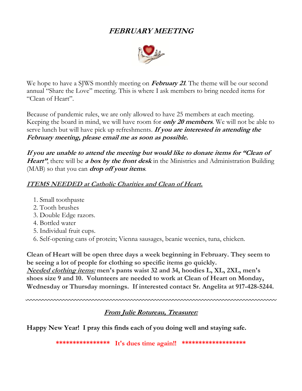## **FEBRUARY MEETING**



We hope to have a SJWS monthly meeting on **February <sup>21</sup>**. The theme will be our second annual "Share the Love" meeting. This is where I ask members to bring needed items for "Clean of Heart".

Because of pandemic rules, we are only allowed to have 25 members at each meeting. Keeping the board in mind, we will have room for **only 20 members**. We will not be able to serve lunch but will have pick up refreshments. **If you are interested in attending the February meeting, please email me as soon as possible.**

**If you are unable to attend the meeting but would like to donate items for "Clean of Heart"**, there will be **a box by the front desk** in the Ministries and Administration Building (MAB) so that you can **drop off your items**.

### **ITEMS NEEDED at Catholic Charities and Clean of Heart.**

- 1. Small toothpaste
- 2. Tooth brushes
- 3. Double Edge razors.
- 4. Bottled water
- 5. Individual fruit cups.
- 6. Self-opening cans of protein; Vienna sausages, beanie weenies, tuna, chicken.

**Clean of Heart will be open three days a week beginning in February. They seem to be seeing a lot of people for clothing so specific items go quickly. Needed clothing items: men's pants waist 32 and 34, hoodies L, XL, 2XL, men's shoes size 9 and 10. Volunteers are needed to work at Clean of Heart on Monday, Wednesday or Thursday mornings. If interested contact Sr. Angelita at 917-428-5244.**

**From Julie Rotureau, Treasurer:**

nnnnnnnnnnnn

**Happy New Year! I pray this finds each of you doing well and staying safe.**

**\*\*\*\*\*\*\*\*\*\*\*\*\*\*\*\* It's dues time again!! \*\*\*\*\*\*\*\*\*\*\*\*\*\*\*\*\*\*\***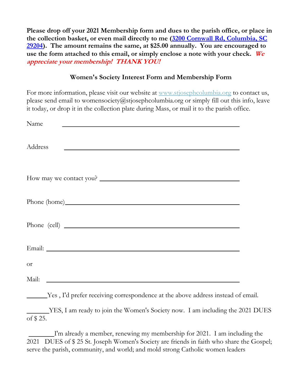**Please drop off your 2021 Membership form and dues to the parish office, or place in the collection basket, or even mail directly to me (3200 Cornwall Rd, Columbia, SC 29204). The amount remains the same, at \$25.00 annually. You are encouraged to use the form attached to this email, or simply enclose a note with your check. We appreciate your membership! THANK YOU!**

#### **Women's Society Interest Form and Membership Form**

For more information, please visit our website at www.stjosephcolumbia.org to contact us, please send email to womensociety@stjosephcolumbia.org or simply fill out this info, leave it today, or drop it in the collection plate during Mass, or mail it to the parish office.

| Name                                                                                                                             |  |
|----------------------------------------------------------------------------------------------------------------------------------|--|
| Address<br><u> 1980 - John Stein, mars and de Brandenburg and de Brandenburg and de Brandenburg and de Brandenburg and de Br</u> |  |
| How may we contact you?                                                                                                          |  |
| Phone (home)                                                                                                                     |  |
| Phone (cell)                                                                                                                     |  |
|                                                                                                                                  |  |
| <b>Or</b>                                                                                                                        |  |
| Mail:                                                                                                                            |  |

Yes , I'd prefer receiving correspondence at the above address instead of email.

 YES, I am ready to join the Women's Society now. I am including the 2021 DUES of \$ 25.

 I'm already a member, renewing my membership for 2021. I am including the 2021 DUES of \$ 25 St. Joseph Women's Society are friends in faith who share the Gospel; serve the parish, community, and world; and mold strong Catholic women leaders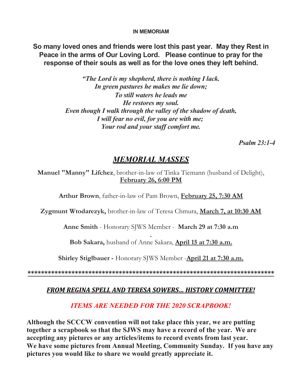#### **IN MEMORIAM**

**So many loved ones and friends were lost this past year. May they Rest in Peace in the arms of Our Loving Lord. Please continue to pray for the response of their souls as well as for the love ones they left behind.**

> *"The Lord is my shepherd, there is nothing I lack. In green pastures he makes me lie down; To still waters he leads me He restores my soul. Even though I walk through the valley of the shadow of death, I will fear no evil, for you are with me; Your rod and your staff comfort me.*

> > *Psalm 23:1-4*

## *MEMORIAL MASSES*

**Manuel "Manny" Lifchez**, brother-in-law of Tinka Tiemann (husband of Delight), **February 26, 6:00 PM**

**Arthur Brown**, father-in-law of Pam Brown, **February 25, 7:30 AM**

**Zygmunt Wtodarezyk,** brother-in-law of Teresa Chmura, **March 7, at 10:30 AM**

**Anne Smith** - Honorary SJWS Member - **March 29 at 7:30 a.m**

**. Bob Sakara,** husband of Anne Sakara, **April 15 at 7:30 a.m.**

**Shirley Stiglbauer -** Honorary SJWS Member -**April 21 at 7:30 a.m.**

**\*\*\*\*\*\*\*\*\*\*\*\*\*\*\*\*\*\*\*\*\*\*\*\*\*\*\*\*\*\*\*\*\*\*\*\*\*\*\*\*\*\*\*\*\*\*\*\*\*\*\*\*\*\*\*\*\*\*\*\*\*\*\*\*\*\*\*\*\*\*\*\*\***

#### *FROM REGINA SPELL AND TERESA SOWERS… HISTORY COMMITTEE!*

#### *ITEMS ARE NEEDED FOR THE 2020 SCRAPBOOK!*

**Although the SCCCW convention will not take place this year, we are putting together a scrapbook so that the SJWS may have a record of the year. We are accepting any pictures or any articles/items to record events from last year. We have some pictures from Annual Meeting, Community Sunday. If you have any pictures you would like to share we would greatly appreciate it.**